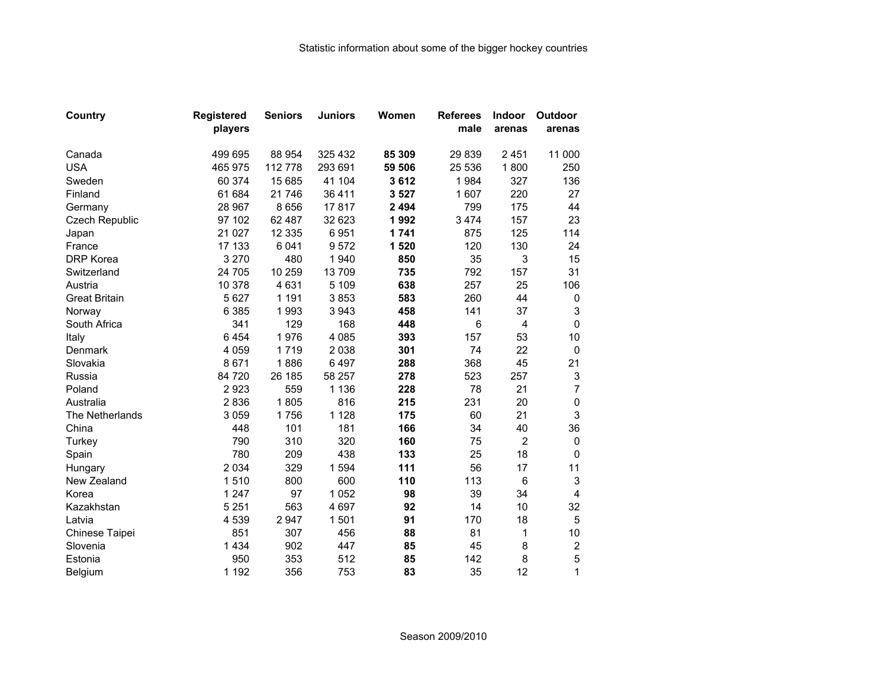| Country               | <b>Registered</b> | <b>Seniors</b> | <b>Juniors</b> | Women   | <b>Referees</b> | <b>Indoor</b>   | <b>Outdoor</b>            |
|-----------------------|-------------------|----------------|----------------|---------|-----------------|-----------------|---------------------------|
|                       | players           |                |                |         | male            | arenas          | arenas                    |
| Canada                | 499 695           | 88 954         | 325 432        | 85 309  | 29839           | 2451            | 11 000                    |
| <b>USA</b>            | 465 975           | 112 778        | 293 691        | 59 506  | 25 536          | 1800            | 250                       |
| Sweden                | 60 374            | 15 685         | 41 104         | 3612    | 1984            | 327             | 136                       |
| Finland               | 61 684            | 21746          | 36 411         | 3527    | 1 607           | 220             | 27                        |
| Germany               | 28 967            | 8 6 5 6        | 17817          | 2 4 9 4 | 799             | 175             | 44                        |
| <b>Czech Republic</b> | 97 102            | 62 487         | 32 623         | 1992    | 3 4 7 4         | 157             | 23                        |
| Japan                 | 21 0 27           | 12 3 35        | 6951           | 1741    | 875             | 125             | 114                       |
| France                | 17 133            | 6 0 4 1        | 9572           | 1520    | 120             | 130             | 24                        |
| DRP Korea             | 3 2 7 0           | 480            | 1940           | 850     | 35              | 3               | 15                        |
| Switzerland           | 24 705            | 10 259         | 13709          | 735     | 792             | 157             | 31                        |
| Austria               | 10 378            | 4 6 3 1        | 5 1 0 9        | 638     | 257             | 25              | 106                       |
| <b>Great Britain</b>  | 5 6 27            | 1 1 9 1        | 3853           | 583     | 260             | 44              | 0                         |
| Norway                | 6 3 8 5           | 1993           | 3 9 4 3        | 458     | 141             | 37              | 3                         |
| South Africa          | 341               | 129            | 168            | 448     | 6               | $\overline{4}$  | 0                         |
| Italy                 | 6454              | 1976           | 4 0 8 5        | 393     | 157             | 53              | 10                        |
| Denmark               | 4 0 5 9           | 1719           | 2 0 3 8        | 301     | 74              | 22              | $\pmb{0}$                 |
| Slovakia              | 8671              | 1886           | 6497           | 288     | 368             | 45              | 21                        |
| Russia                | 84 720            | 26 185         | 58 257         | 278     | 523             | 257             | $\ensuremath{\mathsf{3}}$ |
| Poland                | 2923              | 559            | 1 1 3 6        | 228     | 78              | 21              | $\overline{7}$            |
| Australia             | 2836              | 1805           | 816            | 215     | 231             | 20              | $\pmb{0}$                 |
| The Netherlands       | 3 0 5 9           | 1756           | 1 1 2 8        | 175     | 60              | 21              | 3                         |
| China                 | 448               | 101            | 181            | 166     | 34              | 40              | 36                        |
| Turkey                | 790               | 310            | 320            | 160     | 75              | $\overline{2}$  | 0                         |
| Spain                 | 780               | 209            | 438            | 133     | 25              | 18              | $\Omega$                  |
| Hungary               | 2 0 3 4           | 329            | 1594           | 111     | 56              | 17              | 11                        |
| New Zealand           | 1510              | 800            | 600            | 110     | 113             | $6\phantom{1}6$ | 3                         |
| Korea                 | 1 2 4 7           | 97             | 1 0 5 2        | 98      | 39              | 34              | 4                         |
| Kazakhstan            | 5 2 5 1           | 563            | 4 6 9 7        | 92      | 14              | 10              | 32                        |
| Latvia                | 4 5 3 9           | 2 9 4 7        | 1501           | 91      | 170             | 18              | 5                         |
| Chinese Taipei        | 851               | 307            | 456            | 88      | 81              | 1               | 10                        |
| Slovenia              | 1 4 3 4           | 902            | 447            | 85      | 45              | 8               | $\mathbf 2$               |
| Estonia               | 950               | 353            | 512            | 85      | 142             | 8               | 5                         |
| Belgium               | 1 1 9 2           | 356            | 753            | 83      | 35              | 12              | 1                         |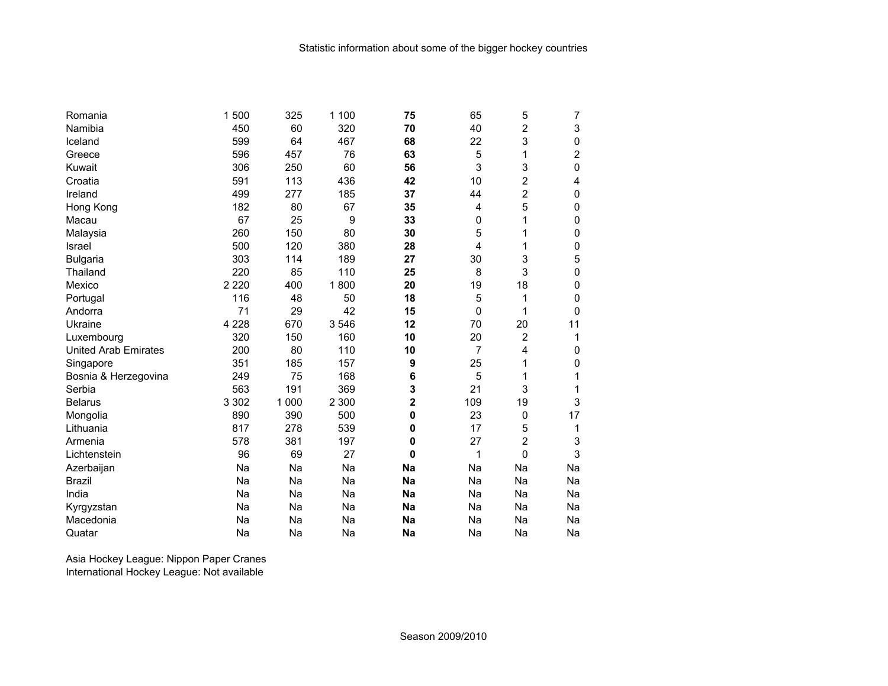| Romania                     | 1 500   | 325     | 1 100   | 75           | 65       | 5              | 7  |
|-----------------------------|---------|---------|---------|--------------|----------|----------------|----|
| Namibia                     | 450     | 60      | 320     | 70           | 40       | 2              | 3  |
| Iceland                     | 599     | 64      | 467     | 68           | 22       | 3              | 0  |
| Greece                      | 596     | 457     | 76      | 63           | 5        | 1              | 2  |
| Kuwait                      | 306     | 250     | 60      | 56           | 3        | 3              | 0  |
| Croatia                     | 591     | 113     | 436     | 42           | 10       | 2              | 4  |
| Ireland                     | 499     | 277     | 185     | 37           | 44       | $\overline{2}$ | 0  |
| Hong Kong                   | 182     | 80      | 67      | 35           | 4        | 5              | 0  |
| Macau                       | 67      | 25      | 9       | 33           | 0        | 1              | 0  |
| Malaysia                    | 260     | 150     | 80      | 30           | 5        | 1              | 0  |
| Israel                      | 500     | 120     | 380     | 28           | 4        | 1              | 0  |
| <b>Bulgaria</b>             | 303     | 114     | 189     | 27           | 30       | 3              | 5  |
| Thailand                    | 220     | 85      | 110     | 25           | 8        | 3              | 0  |
| Mexico                      | 2 2 2 0 | 400     | 1800    | 20           | 19       | 18             | 0  |
| Portugal                    | 116     | 48      | 50      | 18           | 5        | 1              | 0  |
| Andorra                     | 71      | 29      | 42      | 15           | $\Omega$ | 1              | 0  |
| Ukraine                     | 4 2 2 8 | 670     | 3546    | 12           | 70       | 20             | 11 |
| Luxembourg                  | 320     | 150     | 160     | 10           | 20       | 2              | 1  |
| <b>United Arab Emirates</b> | 200     | 80      | 110     | 10           | 7        | 4              | 0  |
| Singapore                   | 351     | 185     | 157     | 9            | 25       | 1              | 0  |
| Bosnia & Herzegovina        | 249     | 75      | 168     | 6            | 5        | 1              | 1  |
| Serbia                      | 563     | 191     | 369     | 3            | 21       | 3              | 1  |
| <b>Belarus</b>              | 3 3 0 2 | 1 0 0 0 | 2 3 0 0 | 2            | 109      | 19             | 3  |
| Mongolia                    | 890     | 390     | 500     | 0            | 23       | 0              | 17 |
| Lithuania                   | 817     | 278     | 539     | 0            | 17       | 5              | 1  |
| Armenia                     | 578     | 381     | 197     | 0            | 27       | 2              | 3  |
| Lichtenstein                | 96      | 69      | 27      | $\mathbf{0}$ | 1        | 0              | 3  |
| Azerbaijan                  | Na      | Na      | Na      | Na           | Na       | Na             | Na |
| <b>Brazil</b>               | Na      | Na      | Na      | <b>Na</b>    | Na       | Na             | Na |
| India                       | Na      | Na      | Na      | Na           | Na       | Na             | Na |
| Kyrgyzstan                  | Na      | Na      | Na      | <b>Na</b>    | Na       | Na             | Na |
| Macedonia                   | Na      | Na      | Na      | Na           | Na       | Na             | Na |
| Quatar                      | Na      | Na      | Na      | Na           | Na       | Na             | Na |

Asia Hockey League: Nippon Paper Cranes International Hockey League: Not available